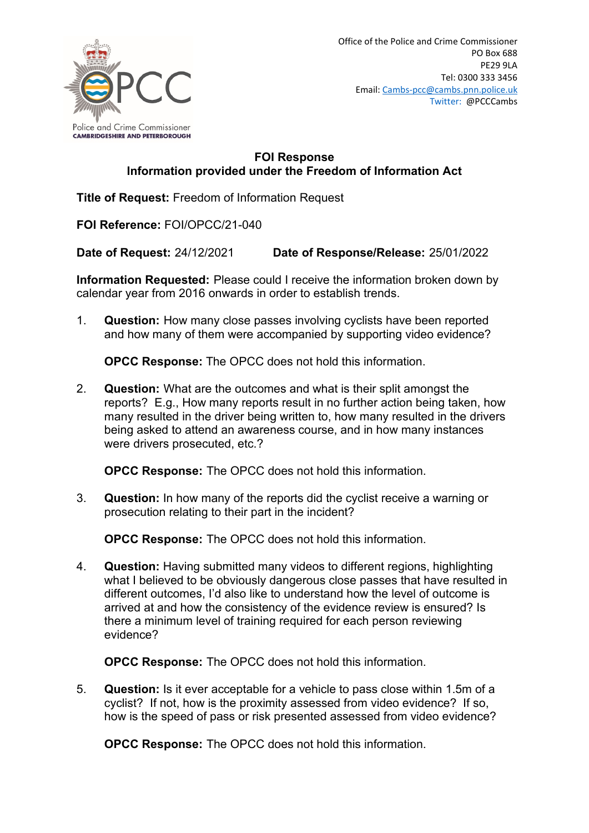

## **FOI Response Information provided under the Freedom of Information Act**

**Title of Request:** Freedom of Information Request

**FOI Reference:** FOI/OPCC/21-040

**Date of Request:** 24/12/2021 **Date of Response/Release:** 25/01/2022

**Information Requested:** Please could I receive the information broken down by calendar year from 2016 onwards in order to establish trends.

1. **Question:** How many close passes involving cyclists have been reported and how many of them were accompanied by supporting video evidence?

**OPCC Response:** The OPCC does not hold this information.

2. **Question:** What are the outcomes and what is their split amongst the reports? E.g., How many reports result in no further action being taken, how many resulted in the driver being written to, how many resulted in the drivers being asked to attend an awareness course, and in how many instances were drivers prosecuted, etc.?

**OPCC Response:** The OPCC does not hold this information.

3. **Question:** In how many of the reports did the cyclist receive a warning or prosecution relating to their part in the incident?

**OPCC Response:** The OPCC does not hold this information.

4. **Question:** Having submitted many videos to different regions, highlighting what I believed to be obviously dangerous close passes that have resulted in different outcomes, I'd also like to understand how the level of outcome is arrived at and how the consistency of the evidence review is ensured? Is there a minimum level of training required for each person reviewing evidence?

**OPCC Response:** The OPCC does not hold this information.

5. **Question:** Is it ever acceptable for a vehicle to pass close within 1.5m of a cyclist? If not, how is the proximity assessed from video evidence? If so, how is the speed of pass or risk presented assessed from video evidence?

**OPCC Response:** The OPCC does not hold this information.